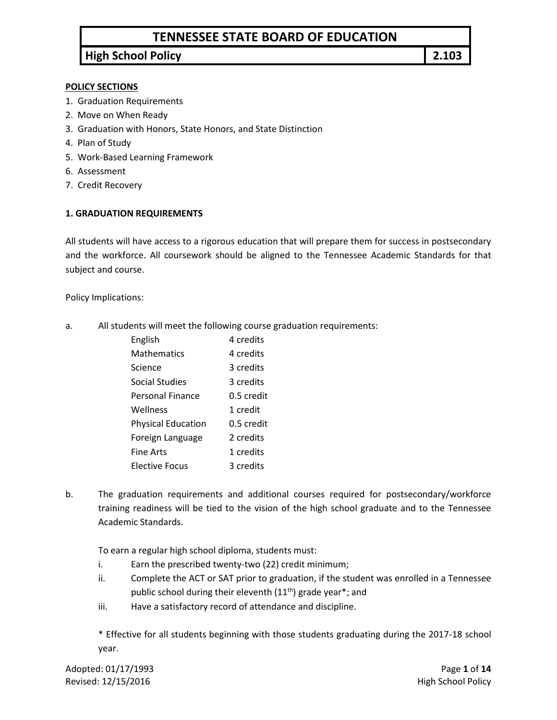# **TENNESSEE STATE BOARD OF EDUCATION**

# **High School Policy 2.103**

#### **POLICY SECTIONS**

- 1. Graduation Requirements
- 2. Move on When Ready
- 3. Graduation with Honors, State Honors, and State Distinction
- 4. Plan of Study
- 5. Work-Based Learning Framework
- 6. Assessment
- 7. Credit Recovery

#### **1. GRADUATION REQUIREMENTS**

All students will have access to a rigorous education that will prepare them for success in postsecondary and the workforce. All coursework should be aligned to the Tennessee Academic Standards for that subject and course.

Policy Implications:

a. All students will meet the following course graduation requirements:

| 4 credits  |
|------------|
| 4 credits  |
| 3 credits  |
| 3 credits  |
| 0.5 credit |
| 1 credit   |
| 0.5 credit |
| 2 credits  |
| 1 credits  |
| a credits  |
|            |

b. The graduation requirements and additional courses required for postsecondary/workforce training readiness will be tied to the vision of the high school graduate and to the Tennessee Academic Standards.

To earn a regular high school diploma, students must:

- i. Earn the prescribed twenty-two (22) credit minimum;
- ii. Complete the ACT or SAT prior to graduation, if the student was enrolled in a Tennessee public school during their eleventh (11<sup>th</sup>) grade year\*; and
- iii. Have a satisfactory record of attendance and discipline.

\* Effective for all students beginning with those students graduating during the 2017-18 school year.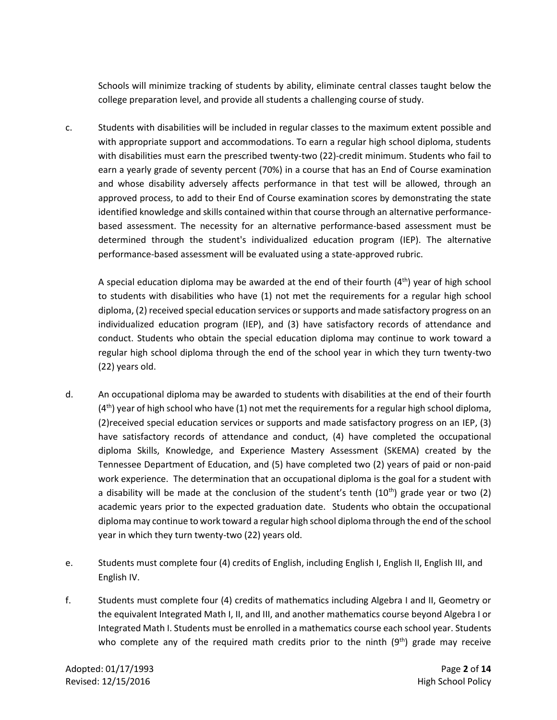Schools will minimize tracking of students by ability, eliminate central classes taught below the college preparation level, and provide all students a challenging course of study.

c. Students with disabilities will be included in regular classes to the maximum extent possible and with appropriate support and accommodations. To earn a regular high school diploma, students with disabilities must earn the prescribed twenty-two (22)-credit minimum. Students who fail to earn a yearly grade of seventy percent (70%) in a course that has an End of Course examination and whose disability adversely affects performance in that test will be allowed, through an approved process, to add to their End of Course examination scores by demonstrating the state identified knowledge and skills contained within that course through an alternative performancebased assessment. The necessity for an alternative performance-based assessment must be determined through the student's individualized education program (IEP). The alternative performance-based assessment will be evaluated using a state-approved rubric.

A special education diploma may be awarded at the end of their fourth  $(4<sup>th</sup>)$  year of high school to students with disabilities who have (1) not met the requirements for a regular high school diploma, (2) received special education services or supports and made satisfactory progress on an individualized education program (IEP), and (3) have satisfactory records of attendance and conduct. Students who obtain the special education diploma may continue to work toward a regular high school diploma through the end of the school year in which they turn twenty-two (22) years old.

- d. An occupational diploma may be awarded to students with disabilities at the end of their fourth  $(4<sup>th</sup>)$  year of high school who have (1) not met the requirements for a regular high school diploma, (2)received special education services or supports and made satisfactory progress on an IEP, (3) have satisfactory records of attendance and conduct, (4) have completed the occupational diploma Skills, Knowledge, and Experience Mastery Assessment (SKEMA) created by the Tennessee Department of Education, and (5) have completed two (2) years of paid or non-paid work experience. The determination that an occupational diploma is the goal for a student with a disability will be made at the conclusion of the student's tenth  $(10<sup>th</sup>)$  grade year or two  $(2)$ academic years prior to the expected graduation date. Students who obtain the occupational diploma may continue to work toward a regular high school diploma through the end of the school year in which they turn twenty-two (22) years old.
- e. Students must complete four (4) credits of English, including English I, English II, English III, and English IV.
- f. Students must complete four (4) credits of mathematics including Algebra I and II, Geometry or the equivalent Integrated Math I, II, and III, and another mathematics course beyond Algebra I or Integrated Math I. Students must be enrolled in a mathematics course each school year. Students who complete any of the required math credits prior to the ninth (9<sup>th</sup>) grade may receive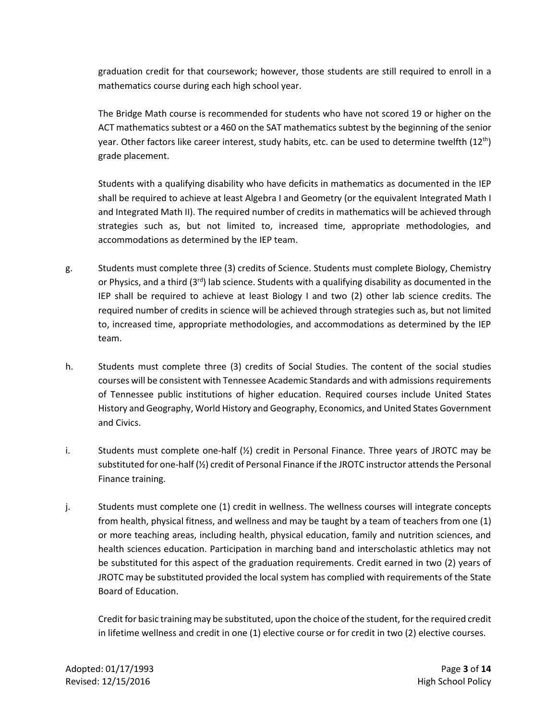graduation credit for that coursework; however, those students are still required to enroll in a mathematics course during each high school year.

The Bridge Math course is recommended for students who have not scored 19 or higher on the ACT mathematics subtest or a 460 on the SAT mathematics subtest by the beginning of the senior year. Other factors like career interest, study habits, etc. can be used to determine twelfth  $(12^{\text{th}})$ grade placement.

Students with a qualifying disability who have deficits in mathematics as documented in the IEP shall be required to achieve at least Algebra I and Geometry (or the equivalent Integrated Math I and Integrated Math II). The required number of credits in mathematics will be achieved through strategies such as, but not limited to, increased time, appropriate methodologies, and accommodations as determined by the IEP team.

- g. Students must complete three (3) credits of Science. Students must complete Biology, Chemistry or Physics, and a third  $(3<sup>rd</sup>)$  lab science. Students with a qualifying disability as documented in the IEP shall be required to achieve at least Biology I and two (2) other lab science credits. The required number of credits in science will be achieved through strategies such as, but not limited to, increased time, appropriate methodologies, and accommodations as determined by the IEP team.
- h. Students must complete three (3) credits of Social Studies. The content of the social studies courses will be consistent with Tennessee Academic Standards and with admissions requirements of Tennessee public institutions of higher education. Required courses include United States History and Geography, World History and Geography, Economics, and United States Government and Civics.
- i. Students must complete one-half  $\langle \frac{1}{2} \rangle$  credit in Personal Finance. Three years of JROTC may be substituted for one-half (½) credit of Personal Finance if the JROTC instructor attends the Personal Finance training.
- j. Students must complete one (1) credit in wellness. The wellness courses will integrate concepts from health, physical fitness, and wellness and may be taught by a team of teachers from one (1) or more teaching areas, including health, physical education, family and nutrition sciences, and health sciences education. Participation in marching band and interscholastic athletics may not be substituted for this aspect of the graduation requirements. Credit earned in two (2) years of JROTC may be substituted provided the local system has complied with requirements of the State Board of Education.

Credit for basic training may be substituted, upon the choice of the student, for the required credit in lifetime wellness and credit in one (1) elective course or for credit in two (2) elective courses.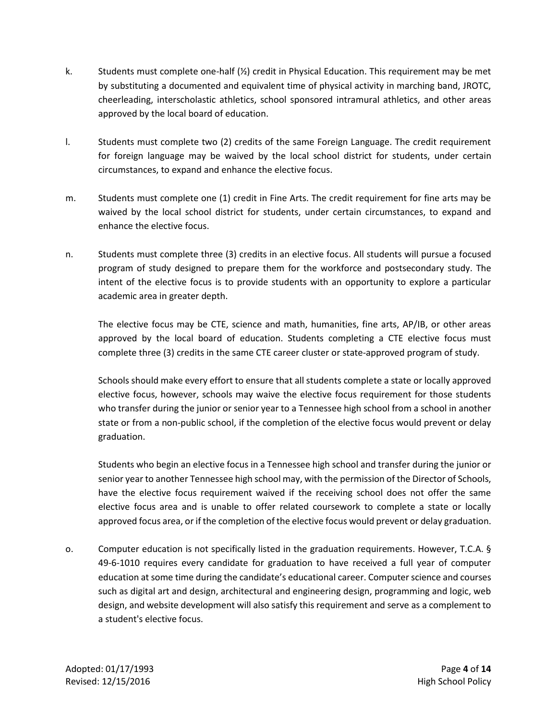- k. Students must complete one-half  $\mathcal{V}_2$  credit in Physical Education. This requirement may be met by substituting a documented and equivalent time of physical activity in marching band, JROTC, cheerleading, interscholastic athletics, school sponsored intramural athletics, and other areas approved by the local board of education.
- l. Students must complete two (2) credits of the same Foreign Language. The credit requirement for foreign language may be waived by the local school district for students, under certain circumstances, to expand and enhance the elective focus.
- m. Students must complete one (1) credit in Fine Arts. The credit requirement for fine arts may be waived by the local school district for students, under certain circumstances, to expand and enhance the elective focus.
- n. Students must complete three (3) credits in an elective focus. All students will pursue a focused program of study designed to prepare them for the workforce and postsecondary study. The intent of the elective focus is to provide students with an opportunity to explore a particular academic area in greater depth.

The elective focus may be CTE, science and math, humanities, fine arts, AP/IB, or other areas approved by the local board of education. Students completing a CTE elective focus must complete three (3) credits in the same CTE career cluster or state-approved program of study.

Schools should make every effort to ensure that all students complete a state or locally approved elective focus, however, schools may waive the elective focus requirement for those students who transfer during the junior or senior year to a Tennessee high school from a school in another state or from a non-public school, if the completion of the elective focus would prevent or delay graduation.

Students who begin an elective focus in a Tennessee high school and transfer during the junior or senior year to another Tennessee high school may, with the permission of the Director of Schools, have the elective focus requirement waived if the receiving school does not offer the same elective focus area and is unable to offer related coursework to complete a state or locally approved focus area, or if the completion of the elective focus would prevent or delay graduation.

o. Computer education is not specifically listed in the graduation requirements. However, T.C.A. § 49-6-1010 requires every candidate for graduation to have received a full year of computer education at some time during the candidate's educational career. Computer science and courses such as digital art and design, architectural and engineering design, programming and logic, web design, and website development will also satisfy this requirement and serve as a complement to a student's elective focus.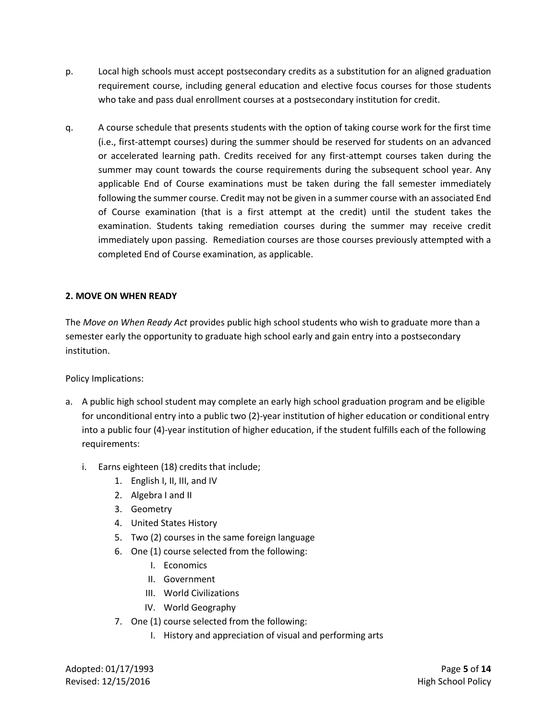- p. Local high schools must accept postsecondary credits as a substitution for an aligned graduation requirement course, including general education and elective focus courses for those students who take and pass dual enrollment courses at a postsecondary institution for credit.
- q. A course schedule that presents students with the option of taking course work for the first time (i.e., first-attempt courses) during the summer should be reserved for students on an advanced or accelerated learning path. Credits received for any first-attempt courses taken during the summer may count towards the course requirements during the subsequent school year. Any applicable End of Course examinations must be taken during the fall semester immediately following the summer course. Credit may not be given in a summer course with an associated End of Course examination (that is a first attempt at the credit) until the student takes the examination. Students taking remediation courses during the summer may receive credit immediately upon passing. Remediation courses are those courses previously attempted with a completed End of Course examination, as applicable.

### **2. MOVE ON WHEN READY**

The *Move on When Ready Act* provides public high school students who wish to graduate more than a semester early the opportunity to graduate high school early and gain entry into a postsecondary institution.

Policy Implications:

- a. A public high school student may complete an early high school graduation program and be eligible for unconditional entry into a public two (2)-year institution of higher education or conditional entry into a public four (4)-year institution of higher education, if the student fulfills each of the following requirements:
	- i. Earns eighteen (18) credits that include;
		- 1. English I, II, III, and IV
		- 2. Algebra I and II
		- 3. Geometry
		- 4. United States History
		- 5. Two (2) courses in the same foreign language
		- 6. One (1) course selected from the following:
			- I. Economics
			- II. Government
			- III. World Civilizations
			- IV. World Geography
		- 7. One (1) course selected from the following:
			- I. History and appreciation of visual and performing arts

Adopted: 01/17/1993 Page **5** of **14** Revised: 12/15/2016 **High School Policy**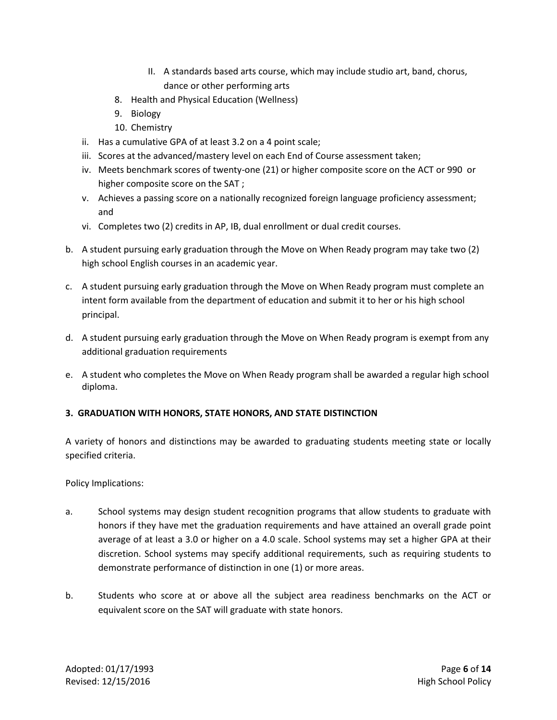- II. A standards based arts course, which may include studio art, band, chorus, dance or other performing arts
- 8. Health and Physical Education (Wellness)
- 9. Biology
- 10. Chemistry
- ii. Has a cumulative GPA of at least 3.2 on a 4 point scale;
- iii. Scores at the advanced/mastery level on each End of Course assessment taken;
- iv. Meets benchmark scores of twenty-one (21) or higher composite score on the ACT or 990 or higher composite score on the SAT ;
- v. Achieves a passing score on a nationally recognized foreign language proficiency assessment; and
- vi. Completes two (2) credits in AP, IB, dual enrollment or dual credit courses.
- b. A student pursuing early graduation through the Move on When Ready program may take two (2) high school English courses in an academic year.
- c. A student pursuing early graduation through the Move on When Ready program must complete an intent form available from the department of education and submit it to her or his high school principal.
- d. A student pursuing early graduation through the Move on When Ready program is exempt from any additional graduation requirements
- e. A student who completes the Move on When Ready program shall be awarded a regular high school diploma.

## **3. GRADUATION WITH HONORS, STATE HONORS, AND STATE DISTINCTION**

A variety of honors and distinctions may be awarded to graduating students meeting state or locally specified criteria.

- a. School systems may design student recognition programs that allow students to graduate with honors if they have met the graduation requirements and have attained an overall grade point average of at least a 3.0 or higher on a 4.0 scale. School systems may set a higher GPA at their discretion. School systems may specify additional requirements, such as requiring students to demonstrate performance of distinction in one (1) or more areas.
- b. Students who score at or above all the subject area readiness benchmarks on the ACT or equivalent score on the SAT will graduate with state honors.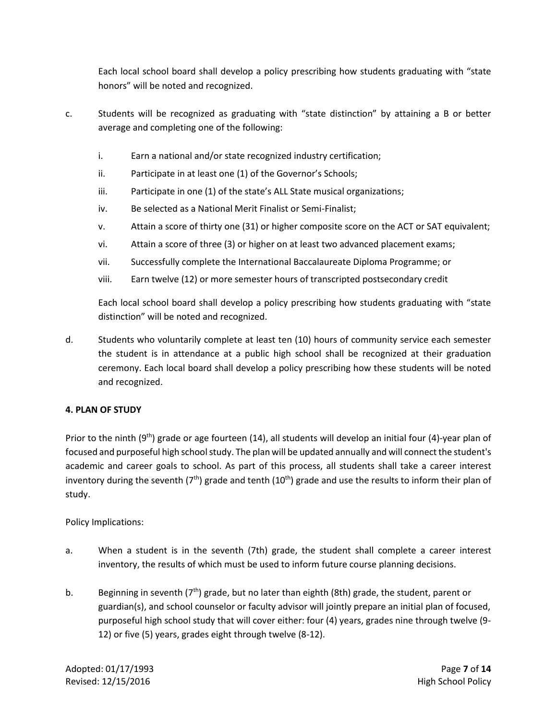Each local school board shall develop a policy prescribing how students graduating with "state honors" will be noted and recognized.

- c. Students will be recognized as graduating with "state distinction" by attaining a B or better average and completing one of the following:
	- i. Earn a national and/or state recognized industry certification;
	- ii. Participate in at least one (1) of the Governor's Schools;
	- iii. Participate in one (1) of the state's ALL State musical organizations;
	- iv. Be selected as a National Merit Finalist or Semi-Finalist;
	- v. Attain a score of thirty one (31) or higher composite score on the ACT or SAT equivalent;
	- vi. Attain a score of three (3) or higher on at least two advanced placement exams;
	- vii. Successfully complete the International Baccalaureate Diploma Programme; or
	- viii. Earn twelve (12) or more semester hours of transcripted postsecondary credit

Each local school board shall develop a policy prescribing how students graduating with "state distinction" will be noted and recognized.

d. Students who voluntarily complete at least ten (10) hours of community service each semester the student is in attendance at a public high school shall be recognized at their graduation ceremony. Each local board shall develop a policy prescribing how these students will be noted and recognized.

### **4. PLAN OF STUDY**

Prior to the ninth (9<sup>th</sup>) grade or age fourteen (14), all students will develop an initial four (4)-year plan of focused and purposeful high school study. The plan will be updated annually and will connect the student's academic and career goals to school. As part of this process, all students shall take a career interest inventory during the seventh ( $7<sup>th</sup>$ ) grade and tenth (10<sup>th</sup>) grade and use the results to inform their plan of study.

- a. When a student is in the seventh (7th) grade, the student shall complete a career interest inventory, the results of which must be used to inform future course planning decisions.
- b. Beginning in seventh (7<sup>th</sup>) grade, but no later than eighth (8th) grade, the student, parent or guardian(s), and school counselor or faculty advisor will jointly prepare an initial plan of focused, purposeful high school study that will cover either: four (4) years, grades nine through twelve (9- 12) or five (5) years, grades eight through twelve (8-12).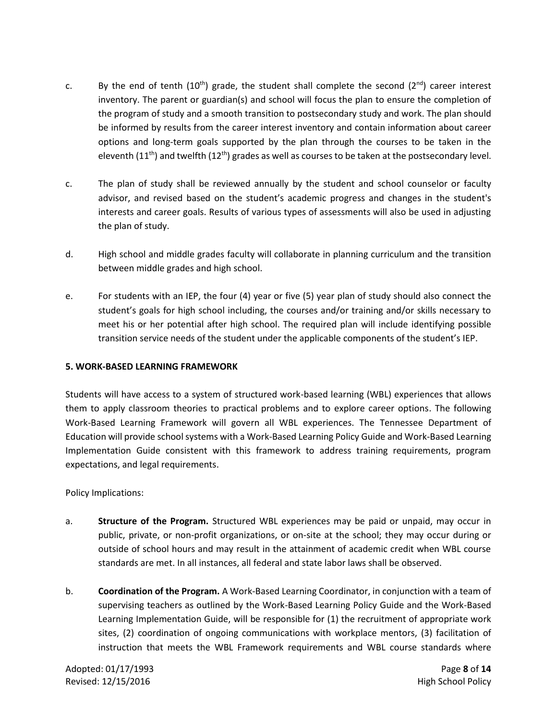- c. By the end of tenth  $(10^{th})$  grade, the student shall complete the second  $(2^{nd})$  career interest inventory. The parent or guardian(s) and school will focus the plan to ensure the completion of the program of study and a smooth transition to postsecondary study and work. The plan should be informed by results from the career interest inventory and contain information about career options and long-term goals supported by the plan through the courses to be taken in the eleventh (11<sup>th</sup>) and twelfth (12<sup>th</sup>) grades as well as courses to be taken at the postsecondary level.
- c. The plan of study shall be reviewed annually by the student and school counselor or faculty advisor, and revised based on the student's academic progress and changes in the student's interests and career goals. Results of various types of assessments will also be used in adjusting the plan of study.
- d. High school and middle grades faculty will collaborate in planning curriculum and the transition between middle grades and high school.
- e. For students with an IEP, the four (4) year or five (5) year plan of study should also connect the student's goals for high school including, the courses and/or training and/or skills necessary to meet his or her potential after high school. The required plan will include identifying possible transition service needs of the student under the applicable components of the student's IEP.

### **5. WORK-BASED LEARNING FRAMEWORK**

Students will have access to a system of structured work-based learning (WBL) experiences that allows them to apply classroom theories to practical problems and to explore career options. The following Work-Based Learning Framework will govern all WBL experiences. The Tennessee Department of Education will provide school systems with a Work-Based Learning Policy Guide and Work-Based Learning Implementation Guide consistent with this framework to address training requirements, program expectations, and legal requirements.

- a. **Structure of the Program.** Structured WBL experiences may be paid or unpaid, may occur in public, private, or non-profit organizations, or on-site at the school; they may occur during or outside of school hours and may result in the attainment of academic credit when WBL course standards are met. In all instances, all federal and state labor laws shall be observed.
- b. **Coordination of the Program.** A Work-Based Learning Coordinator, in conjunction with a team of supervising teachers as outlined by the Work-Based Learning Policy Guide and the Work-Based Learning Implementation Guide, will be responsible for (1) the recruitment of appropriate work sites, (2) coordination of ongoing communications with workplace mentors, (3) facilitation of instruction that meets the WBL Framework requirements and WBL course standards where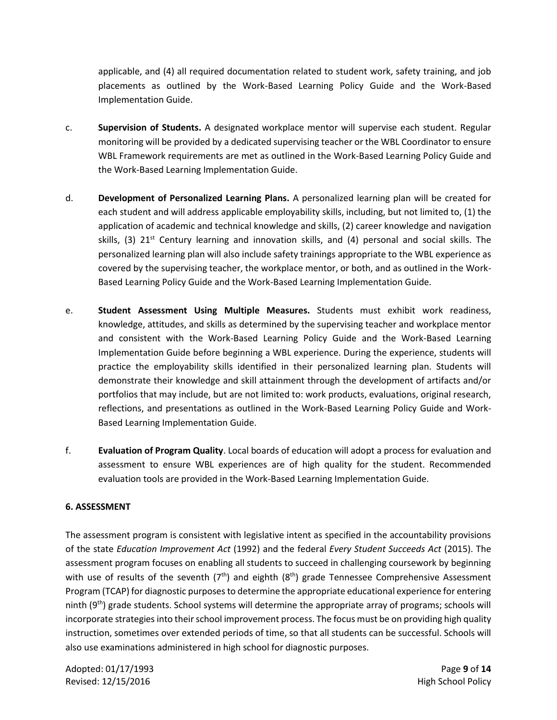applicable, and (4) all required documentation related to student work, safety training, and job placements as outlined by the Work-Based Learning Policy Guide and the Work-Based Implementation Guide.

- c. **Supervision of Students.** A designated workplace mentor will supervise each student. Regular monitoring will be provided by a dedicated supervising teacher or the WBL Coordinator to ensure WBL Framework requirements are met as outlined in the Work-Based Learning Policy Guide and the Work-Based Learning Implementation Guide.
- d. **Development of Personalized Learning Plans.** A personalized learning plan will be created for each student and will address applicable employability skills, including, but not limited to, (1) the application of academic and technical knowledge and skills, (2) career knowledge and navigation skills, (3)  $21^{st}$  Century learning and innovation skills, and (4) personal and social skills. The personalized learning plan will also include safety trainings appropriate to the WBL experience as covered by the supervising teacher, the workplace mentor, or both, and as outlined in the Work-Based Learning Policy Guide and the Work-Based Learning Implementation Guide.
- e. **Student Assessment Using Multiple Measures.** Students must exhibit work readiness, knowledge, attitudes, and skills as determined by the supervising teacher and workplace mentor and consistent with the Work-Based Learning Policy Guide and the Work-Based Learning Implementation Guide before beginning a WBL experience. During the experience, students will practice the employability skills identified in their personalized learning plan. Students will demonstrate their knowledge and skill attainment through the development of artifacts and/or portfolios that may include, but are not limited to: work products, evaluations, original research, reflections, and presentations as outlined in the Work-Based Learning Policy Guide and Work-Based Learning Implementation Guide.
- f. **Evaluation of Program Quality**. Local boards of education will adopt a process for evaluation and assessment to ensure WBL experiences are of high quality for the student. Recommended evaluation tools are provided in the Work-Based Learning Implementation Guide.

### **6. ASSESSMENT**

The assessment program is consistent with legislative intent as specified in the accountability provisions of the state *Education Improvement Act* (1992) and the federal *Every Student Succeeds Act* (2015). The assessment program focuses on enabling all students to succeed in challenging coursework by beginning with use of results of the seventh  $(7<sup>th</sup>)$  and eighth  $(8<sup>th</sup>)$  grade Tennessee Comprehensive Assessment Program (TCAP) for diagnostic purposes to determine the appropriate educational experience for entering ninth  $(9<sup>th</sup>)$  grade students. School systems will determine the appropriate array of programs; schools will incorporate strategies into their school improvement process. The focus must be on providing high quality instruction, sometimes over extended periods of time, so that all students can be successful. Schools will also use examinations administered in high school for diagnostic purposes.

Adopted: 01/17/1993 Page **9** of **14** Revised: 12/15/2016 **High School Policy High School Policy**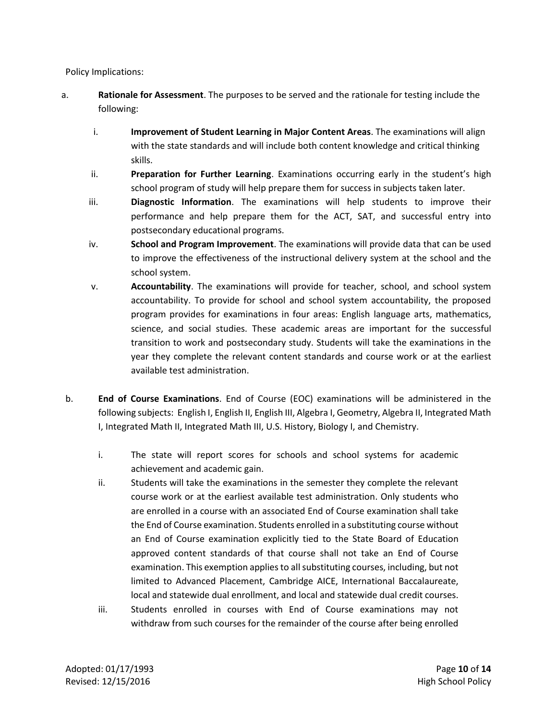- a. **Rationale for Assessment**. The purposes to be served and the rationale for testing include the following:
	- i. **Improvement of Student Learning in Major Content Areas**. The examinations will align with the state standards and will include both content knowledge and critical thinking skills.
	- ii. **Preparation for Further Learning**. Examinations occurring early in the student's high school program of study will help prepare them for success in subjects taken later.
	- iii. **Diagnostic Information**. The examinations will help students to improve their performance and help prepare them for the ACT, SAT, and successful entry into postsecondary educational programs.
	- iv. **School and Program Improvement**. The examinations will provide data that can be used to improve the effectiveness of the instructional delivery system at the school and the school system.
	- v. **Accountability**. The examinations will provide for teacher, school, and school system accountability. To provide for school and school system accountability, the proposed program provides for examinations in four areas: English language arts, mathematics, science, and social studies. These academic areas are important for the successful transition to work and postsecondary study. Students will take the examinations in the year they complete the relevant content standards and course work or at the earliest available test administration.
- b. **End of Course Examinations**. End of Course (EOC) examinations will be administered in the following subjects: English I, English II, English III, Algebra I, Geometry, Algebra II, Integrated Math I, Integrated Math II, Integrated Math III, U.S. History, Biology I, and Chemistry.
	- i. The state will report scores for schools and school systems for academic achievement and academic gain.
	- ii. Students will take the examinations in the semester they complete the relevant course work or at the earliest available test administration. Only students who are enrolled in a course with an associated End of Course examination shall take the End of Course examination. Students enrolled in a substituting course without an End of Course examination explicitly tied to the State Board of Education approved content standards of that course shall not take an End of Course examination. This exemption applies to all substituting courses, including, but not limited to Advanced Placement, Cambridge AICE, International Baccalaureate, local and statewide dual enrollment, and local and statewide dual credit courses.
	- iii. Students enrolled in courses with End of Course examinations may not withdraw from such courses for the remainder of the course after being enrolled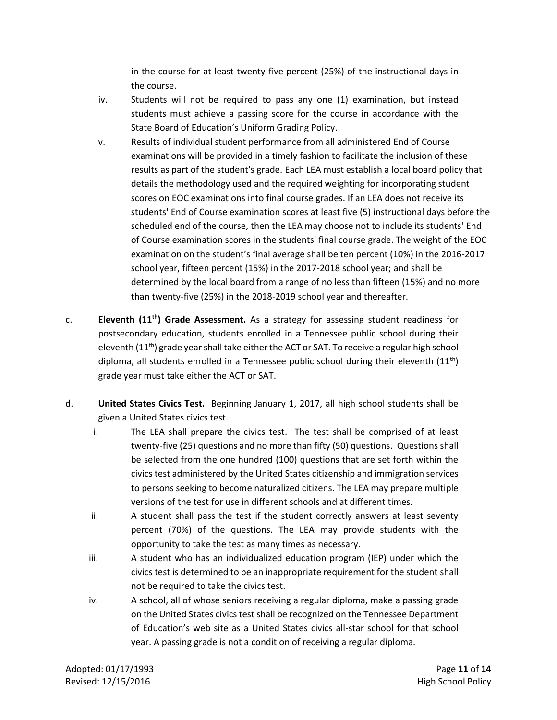in the course for at least twenty-five percent (25%) of the instructional days in the course.

- iv. Students will not be required to pass any one (1) examination, but instead students must achieve a passing score for the course in accordance with the State Board of Education's Uniform Grading Policy.
- v. Results of individual student performance from all administered End of Course examinations will be provided in a timely fashion to facilitate the inclusion of these results as part of the student's grade. Each LEA must establish a local board policy that details the methodology used and the required weighting for incorporating student scores on EOC examinations into final course grades. If an LEA does not receive its students' End of Course examination scores at least five (5) instructional days before the scheduled end of the course, then the LEA may choose not to include its students' End of Course examination scores in the students' final course grade. The weight of the EOC examination on the student's final average shall be ten percent (10%) in the 2016-2017 school year, fifteen percent (15%) in the 2017-2018 school year; and shall be determined by the local board from a range of no less than fifteen (15%) and no more than twenty-five (25%) in the 2018-2019 school year and thereafter.
- c. **Eleventh (11th) Grade Assessment.** As a strategy for assessing student readiness for postsecondary education, students enrolled in a Tennessee public school during their eleventh  $(11<sup>th</sup>)$  grade year shall take either the ACT or SAT. To receive a regular high school diploma, all students enrolled in a Tennessee public school during their eleventh  $(11^{th})$ grade year must take either the ACT or SAT.
- d. **United States Civics Test.** Beginning January 1, 2017, all high school students shall be given a United States civics test.
	- i. The LEA shall prepare the civics test. The test shall be comprised of at least twenty-five (25) questions and no more than fifty (50) questions. Questions shall be selected from the one hundred (100) questions that are set forth within the civics test administered by the United States citizenship and immigration services to persons seeking to become naturalized citizens. The LEA may prepare multiple versions of the test for use in different schools and at different times.
	- ii. A student shall pass the test if the student correctly answers at least seventy percent (70%) of the questions. The LEA may provide students with the opportunity to take the test as many times as necessary.
	- iii. A student who has an individualized education program (IEP) under which the civics test is determined to be an inappropriate requirement for the student shall not be required to take the civics test.
	- iv. A school, all of whose seniors receiving a regular diploma, make a passing grade on the United States civics test shall be recognized on the Tennessee Department of Education's web site as a United States civics all-star school for that school year. A passing grade is not a condition of receiving a regular diploma.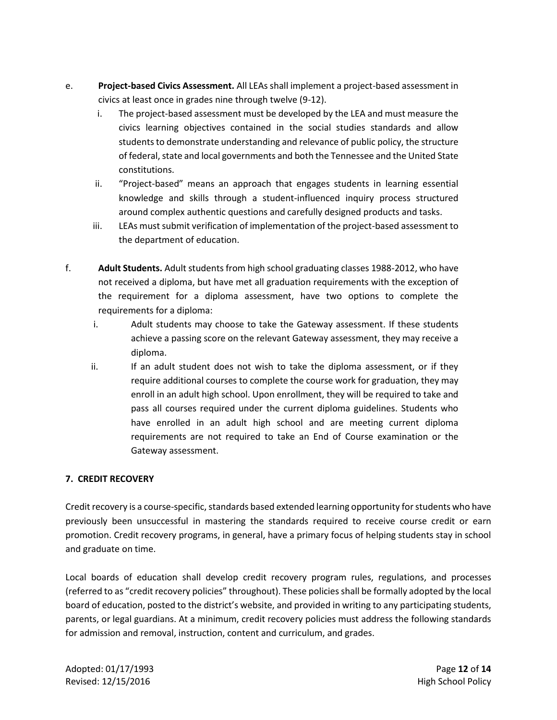- e. **Project-based Civics Assessment.** All LEAs shall implement a project-based assessment in civics at least once in grades nine through twelve (9-12).
	- i. The project-based assessment must be developed by the LEA and must measure the civics learning objectives contained in the social studies standards and allow students to demonstrate understanding and relevance of public policy, the structure of federal, state and local governments and both the Tennessee and the United State constitutions.
	- ii. "Project-based" means an approach that engages students in learning essential knowledge and skills through a student-influenced inquiry process structured around complex authentic questions and carefully designed products and tasks.
	- iii. LEAs must submit verification of implementation of the project-based assessment to the department of education.
- f. **Adult Students.** Adult students from high school graduating classes 1988-2012, who have not received a diploma, but have met all graduation requirements with the exception of the requirement for a diploma assessment, have two options to complete the requirements for a diploma:
	- i. Adult students may choose to take the Gateway assessment. If these students achieve a passing score on the relevant Gateway assessment, they may receive a diploma.
	- ii. If an adult student does not wish to take the diploma assessment, or if they require additional courses to complete the course work for graduation, they may enroll in an adult high school. Upon enrollment, they will be required to take and pass all courses required under the current diploma guidelines. Students who have enrolled in an adult high school and are meeting current diploma requirements are not required to take an End of Course examination or the Gateway assessment.

## **7. CREDIT RECOVERY**

Credit recovery is a course‐specific, standards based extended learning opportunity for students who have previously been unsuccessful in mastering the standards required to receive course credit or earn promotion. Credit recovery programs, in general, have a primary focus of helping students stay in school and graduate on time.

Local boards of education shall develop credit recovery program rules, regulations, and processes (referred to as "credit recovery policies" throughout). These policies shall be formally adopted by the local board of education, posted to the district's website, and provided in writing to any participating students, parents, or legal guardians. At a minimum, credit recovery policies must address the following standards for admission and removal, instruction, content and curriculum, and grades.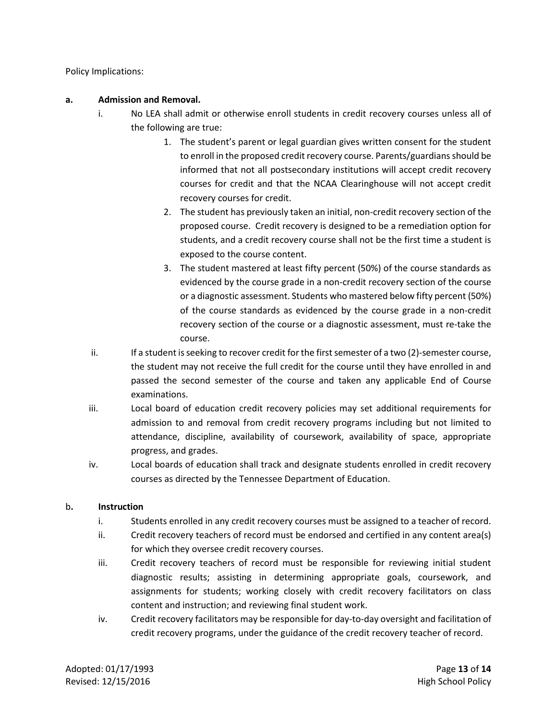Policy Implications:

### **a. Admission and Removal.**

- i. No LEA shall admit or otherwise enroll students in credit recovery courses unless all of the following are true:
	- 1. The student's parent or legal guardian gives written consent for the student to enroll in the proposed credit recovery course. Parents/guardians should be informed that not all postsecondary institutions will accept credit recovery courses for credit and that the NCAA Clearinghouse will not accept credit recovery courses for credit.
	- 2. The student has previously taken an initial, non-credit recovery section of the proposed course. Credit recovery is designed to be a remediation option for students, and a credit recovery course shall not be the first time a student is exposed to the course content.
	- 3. The student mastered at least fifty percent (50%) of the course standards as evidenced by the course grade in a non-credit recovery section of the course or a diagnostic assessment. Students who mastered below fifty percent (50%) of the course standards as evidenced by the course grade in a non-credit recovery section of the course or a diagnostic assessment, must re-take the course.
- ii. If a student is seeking to recover credit for the first semester of a two (2)-semester course, the student may not receive the full credit for the course until they have enrolled in and passed the second semester of the course and taken any applicable End of Course examinations.
- iii. Local board of education credit recovery policies may set additional requirements for admission to and removal from credit recovery programs including but not limited to attendance, discipline, availability of coursework, availability of space, appropriate progress, and grades.
- iv. Local boards of education shall track and designate students enrolled in credit recovery courses as directed by the Tennessee Department of Education.

### b**. Instruction**

- i. Students enrolled in any credit recovery courses must be assigned to a teacher of record.
- ii. Credit recovery teachers of record must be endorsed and certified in any content area(s) for which they oversee credit recovery courses.
- iii. Credit recovery teachers of record must be responsible for reviewing initial student diagnostic results; assisting in determining appropriate goals, coursework, and assignments for students; working closely with credit recovery facilitators on class content and instruction; and reviewing final student work.
- iv. Credit recovery facilitators may be responsible for day-to-day oversight and facilitation of credit recovery programs, under the guidance of the credit recovery teacher of record.